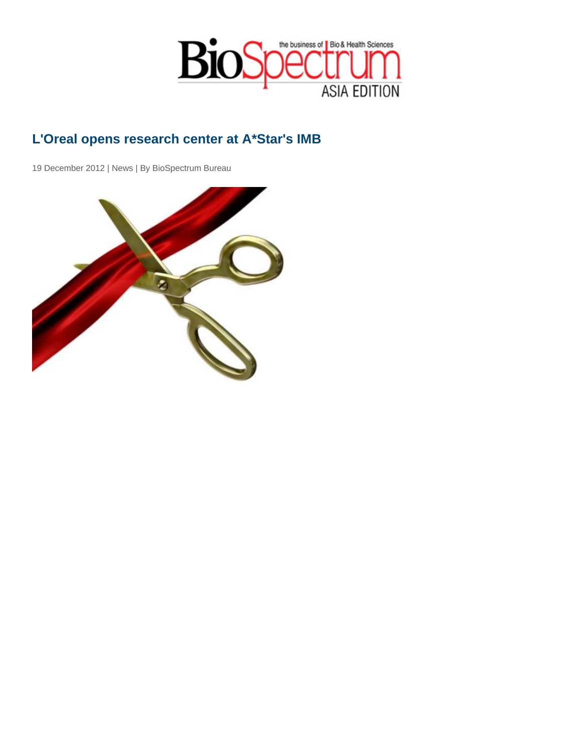## L'Oreal opens research center at A\*Star's IMB

19 December 2012 | News | By BioSpectrum Bureau